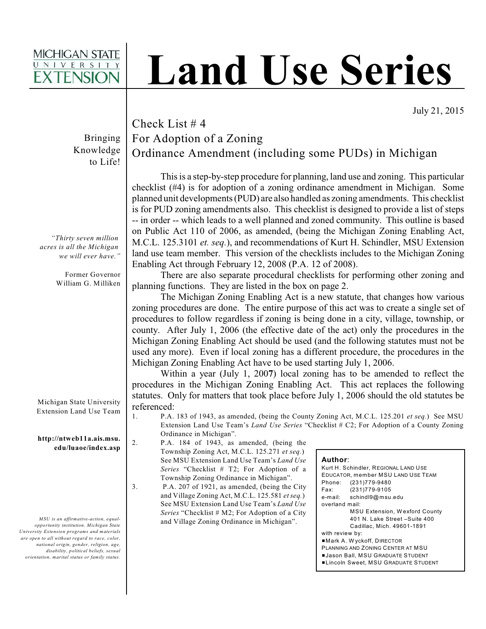## **MICHIGAN STATE**

# **Land Use Series**

July 21, 2015

Bringing Knowledge to Life!

*"Thirty seven million acres is all the Michigan we will ever have."*

> Former Governor William G. Milliken

Michigan State University Extension Land Use Team

**http://ntweb11a.ais.msu. edu/luaoe/index.asp**

*MSU is an affirmative-action, equalopportunity institution. Michigan State University Extension programs and materials are open to all without regard to race, color, national origin, gender, religion, age, disability, political beliefs, sexual orientation, marital status or family status.*

## Check List # 4 For Adoption of a Zoning Ordinance Amendment (including some PUDs) in Michigan

This is a step-by-step procedure for planning, land use and zoning. This particular checklist (#4) is for adoption of a zoning ordinance amendment in Michigan. Some planned unit developments (PUD) are also handled as zoning amendments. This checklist is for PUD zoning amendments also. This checklist is designed to provide a list of steps -- in order -- which leads to a well planned and zoned community. This outline is based on Public Act 110 of 2006, as amended, (being the Michigan Zoning Enabling Act, M.C.L. 125.3101 *et. seq.*), and recommendations of Kurt H. Schindler, MSU Extension land use team member. This version of the checklists includes to the Michigan Zoning Enabling Act through February 12, 2008 (P.A. 12 of 2008).

There are also separate procedural checklists for performing other zoning and planning functions. They are listed in the box on page 2.

The Michigan Zoning Enabling Act is a new statute, that changes how various zoning procedures are done. The entire purpose of this act was to create a single set of procedures to follow regardless if zoning is being done in a city, village, township, or county. After July 1, 2006 (the effective date of the act) only the procedures in the Michigan Zoning Enabling Act should be used (and the following statutes must not be used any more). Even if local zoning has a different procedure, the procedures in the Michigan Zoning Enabling Act have to be used starting July 1, 2006.

Within a year (July 1, 200**7**) local zoning has to be amended to reflect the procedures in the Michigan Zoning Enabling Act. This act replaces the following statutes. Only for matters that took place before July 1, 2006 should the old statutes be referenced:

- 1. P.A. 183 of 1943, as amended, (being the County Zoning Act, M.C.L. 125.201 *et seq.*) See MSU Extension Land Use Team's *Land Use Series* "Checklist # C2; For Adoption of a County Zoning Ordinance in Michigan".
- 2. P.A. 184 of 1943, as amended, (being the Township Zoning Act, M.C.L. 125.271 *et seq.*) See MSU Extension Land Use Team's *Land Use Series* "Checklist # T2; For Adoption of a Township Zoning Ordinance in Michigan".
- 3. P.A. 207 of 1921, as amended, (being the City and Village Zoning Act, M.C.L. 125.581 *et seq.*) See MSU Extension Land Use Team's *Land Use Series* "Checklist # M2; For Adoption of a City and Village Zoning Ordinance in Michigan".

| Author: |  |  |
|---------|--|--|
|         |  |  |

| Author.                              |                                             |  |  |  |
|--------------------------------------|---------------------------------------------|--|--|--|
| Kurt H. Schindler, REGIONAL LAND USE |                                             |  |  |  |
|                                      | EDUCATOR, member MSU LAND USE TEAM          |  |  |  |
|                                      | Phone: (231)779-9480                        |  |  |  |
| Fax:                                 | (231) 779-9105                              |  |  |  |
|                                      | e-mail: schindl9@msu.edu                    |  |  |  |
| overland mail:                       |                                             |  |  |  |
|                                      | <b>MSU Extension, Wexford County</b>        |  |  |  |
|                                      | 401 N. Lake Street -Suite 400               |  |  |  |
|                                      | Cadillac, Mich. 49601-1891                  |  |  |  |
| with review by:                      |                                             |  |  |  |
| Mark A. Wyckoff, DIRECTOR            |                                             |  |  |  |
| PLANNING AND ZONING CENTER AT MSU    |                                             |  |  |  |
|                                      | <b>Jason Ball, MSU GRADUATE STUDENT</b>     |  |  |  |
|                                      | <b>ELincoln Sweet, MSU GRADUATE STUDENT</b> |  |  |  |
|                                      |                                             |  |  |  |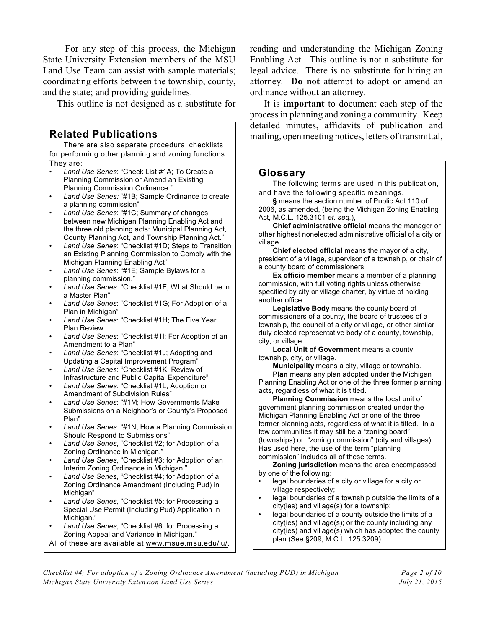For any step of this process, the Michigan State University Extension members of the MSU Land Use Team can assist with sample materials; coordinating efforts between the township, county, and the state; and providing guidelines.

This outline is not designed as a substitute for

There are also separate procedural checklists for performing other planning and zoning functions. They are:

- *Land Use Series*: "Check List #1A; To Create a Planning Commission or Amend an Existing Planning Commission Ordinance."
- *Land Use Series:* "#1B; Sample Ordinance to create a planning commission"
- *Land Use Series*: "#1C; Summary of changes between new Michigan Planning Enabling Act and the three old planning acts: Municipal Planning Act, County Planning Act, and Township Planning Act."
- *Land Use Series*: "Checklist #1D; Steps to Transition an Existing Planning Commission to Comply with the Michigan Planning Enabling Act"
- *Land Use Series*: "#1E; Sample Bylaws for a planning commission."
- *Land Use Series*: "Checklist #1F; What Should be in a Master Plan"
- *Land Use Series*: "Checklist #1G; For Adoption of a Plan in Michigan"
- *Land Use Series*: "Checklist #1H; The Five Year Plan Review.
- *Land Use Series*: "Checklist #1I; For Adoption of an Amendment to a Plan"
- *Land Use Series*: "Checklist #1J; Adopting and Updating a Capital Improvement Program"
- *Land Use Series*: "Checklist #1K; Review of Infrastructure and Public Capital Expenditure"
- *Land Use Series*: "Checklist #1L; Adoption or Amendment of Subdivision Rules"
- *Land Use Series*: "#1M; How Governments Make Submissions on a Neighbor's or County's Proposed Plan"
- *Land Use Series*: "#1N; How a Planning Commission Should Respond to Submissions"
- *Land Use Series*, "Checklist #2; for Adoption of a Zoning Ordinance in Michigan."
- *Land Use Series*, "Checklist #3; for Adoption of an Interim Zoning Ordinance in Michigan."
- *Land Use Series*, "Checklist #4; for Adoption of a Zoning Ordinance Amendment (Including Pud) in Michigan"
- *Land Use Series*, "Checklist #5: for Processing a Special Use Permit (Including Pud) Application in Michigan."
- *Land Use Series*, "Checklist #6: for Processing a Zoning Appeal and Variance in Michigan."
- All of these are available at www.msue.msu.edu/lu/.

reading and understanding the Michigan Zoning Enabling Act. This outline is not a substitute for legal advice. There is no substitute for hiring an attorney. **Do not** attempt to adopt or amend an ordinance without an attorney.

It is **important** to document each step of the process in planning and zoning a community. Keep detailed minutes, affidavits of publication and **Related Publications**  $\parallel$  mailing, open meeting notices, letters of transmittal,

### **Glossary**

The following terms are used in this publication, and have the following specific meanings.

**§** means the section number of Public Act 110 of 2006, as amended, (being the Michigan Zoning Enabling Act, M.C.L. 125.3101 *et. seq.*),

**Chief administrative official** means the manager or other highest nonelected administrative official of a city or village.

**Chief elected official** means the mayor of a city, president of a village, supervisor of a township, or chair of a county board of commissioners.

**Ex officio member** means a member of a planning commission, with full voting rights unless otherwise specified by city or village charter, by virtue of holding another office.

**Legislative Body** means the county board of commissioners of a county, the board of trustees of a township, the council of a city or village, or other similar duly elected representative body of a county, township, city, or village.

**Local Unit of Government** means a county, township, city, or village.

**Municipality** means a city, village or township. **Plan** means any plan adopted under the Michigan

Planning Enabling Act or one of the three former planning acts, regardless of what it is titled.

**Planning Commission** means the local unit of government planning commission created under the Michigan Planning Enabling Act or one of the three former planning acts, regardless of what it is titled. In a few communities it may still be a "zoning board" (townships) or "zoning commission" (city and villages). Has used here, the use of the term "planning commission" includes all of these terms.

**Zoning jurisdiction** means the area encompassed by one of the following:

- legal boundaries of a city or village for a city or village respectively;
- legal boundaries of a township outside the limits of a city(ies) and village(s) for a township;
- legal boundaries of a county outside the limits of a city(ies) and village(s); or the county including any city(ies) and village(s) which has adopted the county plan (See §209, M.C.L. 125.3209)..

*Checklist #4; For adoption of a Zoning Ordinance Amendment (including PUD) in Michigan Page 2 of 10 Michigan State University Extension Land Use Series July 21, 2015*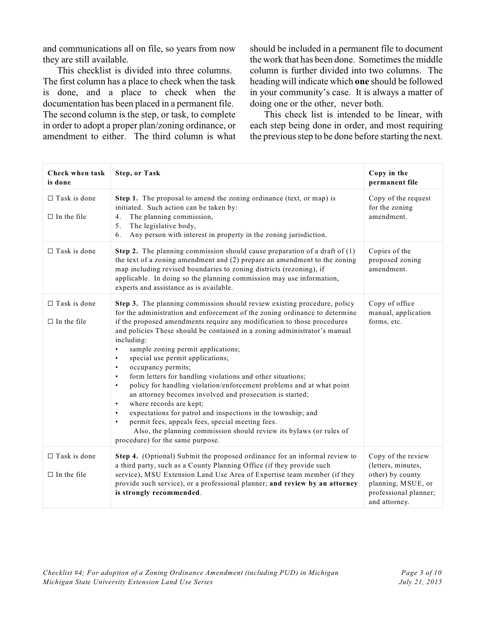and communications all on file, so years from now they are still available.

This checklist is divided into three columns. The first column has a place to check when the task is done, and a place to check when the documentation has been placed in a permanent file. The second column is the step, or task, to complete in order to adopt a proper plan/zoning ordinance, or amendment to either. The third column is what

should be included in a permanent file to document the work that has been done. Sometimes the middle column is further divided into two columns. The heading will indicate which **one** should be followed in your community's case. It is always a matter of doing one or the other, never both.

This check list is intended to be linear, with each step being done in order, and most requiring the previous step to be done before starting the next.

| Check when task<br>is done                | <b>Step, or Task</b>                                                                                                                                                                                                                                                                                                                                                                                                                                                                                                                                                                                                                                                                                                                                                                                                                                                                                                                                                                              | Copy in the<br>permanent file                                                                                                |
|-------------------------------------------|---------------------------------------------------------------------------------------------------------------------------------------------------------------------------------------------------------------------------------------------------------------------------------------------------------------------------------------------------------------------------------------------------------------------------------------------------------------------------------------------------------------------------------------------------------------------------------------------------------------------------------------------------------------------------------------------------------------------------------------------------------------------------------------------------------------------------------------------------------------------------------------------------------------------------------------------------------------------------------------------------|------------------------------------------------------------------------------------------------------------------------------|
| $\Box$ Task is done<br>$\Box$ In the file | Step 1. The proposal to amend the zoning ordinance (text, or map) is<br>initiated. Such action can be taken by:<br>The planning commission,<br>4.<br>The legislative body,<br>5.<br>Any person with interest in property in the zoning jurisdiction.<br>6.                                                                                                                                                                                                                                                                                                                                                                                                                                                                                                                                                                                                                                                                                                                                        | Copy of the request<br>for the zoning<br>amendment.                                                                          |
| $\Box$ Task is done                       | <b>Step 2.</b> The planning commission should cause preparation of a draft of $(1)$<br>the text of a zoning amendment and (2) prepare an amendment to the zoning<br>map including revised boundaries to zoning districts (rezoning), if<br>applicable. In doing so the planning commission may use information,<br>experts and assistance as is available.                                                                                                                                                                                                                                                                                                                                                                                                                                                                                                                                                                                                                                        | Copies of the<br>proposed zoning<br>amendment.                                                                               |
| $\Box$ Task is done<br>$\Box$ In the file | Step 3. The planning commission should review existing procedure, policy<br>for the administration and enforcement of the zoning ordinance to determine<br>if the proposed amendments require any modification to those procedures<br>and policies These should be contained in a zoning administrator's manual<br>including:<br>sample zoning permit applications;<br>$\bullet$<br>special use permit applications;<br>$\bullet$<br>occupancy permits;<br>$\bullet$<br>form letters for handling violations and other situations;<br>$\bullet$<br>policy for handling violation/enforcement problems and at what point<br>$\bullet$<br>an attorney becomes involved and prosecution is started;<br>where records are kept;<br>$\bullet$<br>expectations for patrol and inspections in the township; and<br>$\bullet$<br>permit fees, appeals fees, special meeting fees.<br>$\bullet$<br>Also, the planning commission should review its bylaws (or rules of<br>procedure) for the same purpose. | Copy of office<br>manual, application<br>forms, etc.                                                                         |
| $\Box$ Task is done<br>$\Box$ In the file | Step 4. (Optional) Submit the proposed ordinance for an informal review to<br>a third party, such as a County Planning Office (if they provide such<br>service), MSU Extension Land Use Area of Expertise team member (if they<br>provide such service), or a professional planner; and review by an attorney<br>is strongly recommended.                                                                                                                                                                                                                                                                                                                                                                                                                                                                                                                                                                                                                                                         | Copy of the review<br>(letters, minutes,<br>other) by county<br>planning, MSUE, or<br>professional planner;<br>and attorney. |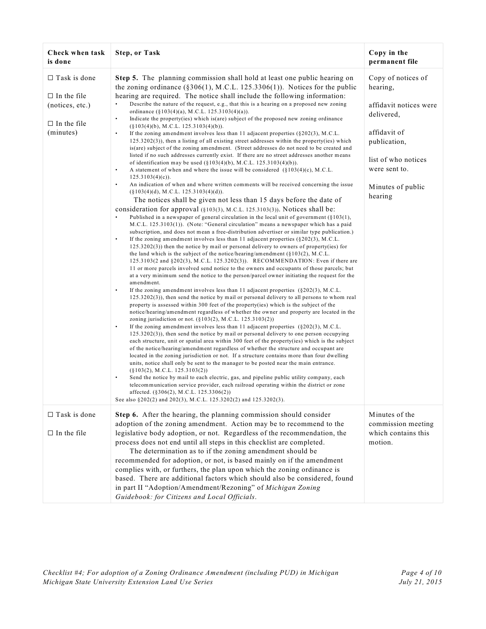| Check when task<br>is done                                  | <b>Step, or Task</b>                                                                                                                                                                                                                                                                                                                                                                                                                                                                                                                                                                                                                                                                                                                                                                                                                                                                                                                                                                                                                                                                                                                                                                                                                                                                                                                                                                                                                                                                                                                                                                                                                                                                                                                                                                                                                                                                                                                                                                                                                                                                                                                                                                                                                                                                                                                                                                                                             | Copy in the<br>permanent file                        |
|-------------------------------------------------------------|----------------------------------------------------------------------------------------------------------------------------------------------------------------------------------------------------------------------------------------------------------------------------------------------------------------------------------------------------------------------------------------------------------------------------------------------------------------------------------------------------------------------------------------------------------------------------------------------------------------------------------------------------------------------------------------------------------------------------------------------------------------------------------------------------------------------------------------------------------------------------------------------------------------------------------------------------------------------------------------------------------------------------------------------------------------------------------------------------------------------------------------------------------------------------------------------------------------------------------------------------------------------------------------------------------------------------------------------------------------------------------------------------------------------------------------------------------------------------------------------------------------------------------------------------------------------------------------------------------------------------------------------------------------------------------------------------------------------------------------------------------------------------------------------------------------------------------------------------------------------------------------------------------------------------------------------------------------------------------------------------------------------------------------------------------------------------------------------------------------------------------------------------------------------------------------------------------------------------------------------------------------------------------------------------------------------------------------------------------------------------------------------------------------------------------|------------------------------------------------------|
| $\Box$ Task is done                                         | Step 5. The planning commission shall hold at least one public hearing on                                                                                                                                                                                                                                                                                                                                                                                                                                                                                                                                                                                                                                                                                                                                                                                                                                                                                                                                                                                                                                                                                                                                                                                                                                                                                                                                                                                                                                                                                                                                                                                                                                                                                                                                                                                                                                                                                                                                                                                                                                                                                                                                                                                                                                                                                                                                                        | Copy of notices of                                   |
| $\Box$ In the file<br>(notices, etc.)<br>$\Box$ In the file | the zoning ordinance ( $\S 306(1)$ , M.C.L. 125.3306(1)). Notices for the public<br>hearing are required. The notice shall include the following information:<br>Describe the nature of the request, e.g., that this is a hearing on a proposed new zoning<br>ordinance $(\S 103(4)(a), M.C.L. 125.3103(4)(a)).$<br>Indicate the property (ies) which is (are) subject of the proposed new zoning ordinance<br>$\bullet$                                                                                                                                                                                                                                                                                                                                                                                                                                                                                                                                                                                                                                                                                                                                                                                                                                                                                                                                                                                                                                                                                                                                                                                                                                                                                                                                                                                                                                                                                                                                                                                                                                                                                                                                                                                                                                                                                                                                                                                                         | hearing,<br>affidavit notices were<br>delivered,     |
| (minutes)                                                   | $(\S103(4)(b), M.C.L. 125.3103(4)(b)).$<br>If the zoning amendment involves less than 11 adjacent properties $(\S 202(3), M.C.L.$<br>$125.3202(3)$ , then a listing of all existing street addresses within the property(ies) which<br>is (are) subject of the zoning amendment. (Street addresses do not need to be created and                                                                                                                                                                                                                                                                                                                                                                                                                                                                                                                                                                                                                                                                                                                                                                                                                                                                                                                                                                                                                                                                                                                                                                                                                                                                                                                                                                                                                                                                                                                                                                                                                                                                                                                                                                                                                                                                                                                                                                                                                                                                                                 | affidavit of<br>publication,                         |
|                                                             | listed if no such addresses currently exist. If there are no street addresses another means<br>of identification may be used $(\S103(4)(b), M.C.L. 125.3103(4)(b)).$<br>A statement of when and where the issue will be considered $(\S 103(4)(c), M.C.L.$<br>$\bullet$<br>$125.3103(4)(c)$ ).                                                                                                                                                                                                                                                                                                                                                                                                                                                                                                                                                                                                                                                                                                                                                                                                                                                                                                                                                                                                                                                                                                                                                                                                                                                                                                                                                                                                                                                                                                                                                                                                                                                                                                                                                                                                                                                                                                                                                                                                                                                                                                                                   | list of who notices<br>were sent to.                 |
|                                                             | An indication of when and where written comments will be received concerning the issue<br>$(\S 103(4)(d), M.C.L. 125.3103(4)(d)).$                                                                                                                                                                                                                                                                                                                                                                                                                                                                                                                                                                                                                                                                                                                                                                                                                                                                                                                                                                                                                                                                                                                                                                                                                                                                                                                                                                                                                                                                                                                                                                                                                                                                                                                                                                                                                                                                                                                                                                                                                                                                                                                                                                                                                                                                                               | Minutes of public<br>hearing                         |
|                                                             | The notices shall be given not less than 15 days before the date of<br>consideration for approval (§103(3), M.C.L. 125.3103(3)). Notices shall be:<br>$\bullet$<br>Published in a newspaper of general circulation in the local unit of government ( $§103(1)$ ,<br>M.C.L. 125.3103(1)). (Note: "General circulation" means a newspaper which has a paid<br>subscription, and does not mean a free-distribution advertiser or similar type publication.)<br>$\bullet$<br>If the zoning amendment involves less than 11 adjacent properties $(\S 202(3), M.C.L.$<br>$125.3202(3)$ ) then the notice by mail or personal delivery to owners of property(ies) for<br>the land which is the subject of the notice/hearing/amendment $(\S 103(2), M.C.L.$<br>125.3103(2 and §202(3), M.C.L. 125.3202(3)). RECOMMENDATION: Even if there are<br>11 or more parcels involved send notice to the owners and occupants of those parcels; but<br>at a very minimum send the notice to the person/parcel owner initiating the request for the<br>amendment.<br>If the zoning amendment involves less than 11 adjacent properties $(\S 202(3), M.C.L.$<br>$125.3202(3)$ ), then send the notice by mail or personal delivery to all persons to whom real<br>property is assessed within 300 feet of the property (ies) which is the subject of the<br>notice/hearing/amendment regardless of whether the owner and property are located in the<br>zoning jurisdiction or not. $(\S103(2), M.C.L. 125.3103(2))$<br>$\bullet$<br>If the zoning amendment involves less than 11 adjacent properties $(\S 202(3), M.C.L.$<br>$125.3202(3)$ , then send the notice by mail or personal delivery to one person occupying<br>each structure, unit or spatial area within 300 feet of the property(ies) which is the subject<br>of the notice/hearing/amendment regardless of whether the structure and occupant are<br>located in the zoning jurisdiction or not. If a structure contains more than four dwelling<br>units, notice shall only be sent to the manager to be posted near the main entrance.<br>$(\S103(2), M.C.L. 125.3103(2))$<br>Send the notice by mail to each electric, gas, and pipeline public utility company, each<br>telecommunication service provider, each railroad operating within the district or zone<br>affected. (§306(2), M.C.L. 125.3306(2))<br>See also §202(2) and 202(3), M.C.L. 125.3202(2) and 125.3202(3). |                                                      |
| $\Box$ Task is done                                         | Step 6. After the hearing, the planning commission should consider                                                                                                                                                                                                                                                                                                                                                                                                                                                                                                                                                                                                                                                                                                                                                                                                                                                                                                                                                                                                                                                                                                                                                                                                                                                                                                                                                                                                                                                                                                                                                                                                                                                                                                                                                                                                                                                                                                                                                                                                                                                                                                                                                                                                                                                                                                                                                               | Minutes of the                                       |
| $\Box$ In the file                                          | adoption of the zoning amendment. Action may be to recommend to the<br>legislative body adoption, or not. Regardless of the recommendation, the<br>process does not end until all steps in this checklist are completed.<br>The determination as to if the zoning amendment should be<br>recommended for adoption, or not, is based mainly on if the amendment<br>complies with, or furthers, the plan upon which the zoning ordinance is                                                                                                                                                                                                                                                                                                                                                                                                                                                                                                                                                                                                                                                                                                                                                                                                                                                                                                                                                                                                                                                                                                                                                                                                                                                                                                                                                                                                                                                                                                                                                                                                                                                                                                                                                                                                                                                                                                                                                                                        | commission meeting<br>which contains this<br>motion. |
|                                                             | based. There are additional factors which should also be considered, found<br>in part II "Adoption/Amendment/Rezoning" of Michigan Zoning<br>Guidebook: for Citizens and Local Officials.                                                                                                                                                                                                                                                                                                                                                                                                                                                                                                                                                                                                                                                                                                                                                                                                                                                                                                                                                                                                                                                                                                                                                                                                                                                                                                                                                                                                                                                                                                                                                                                                                                                                                                                                                                                                                                                                                                                                                                                                                                                                                                                                                                                                                                        |                                                      |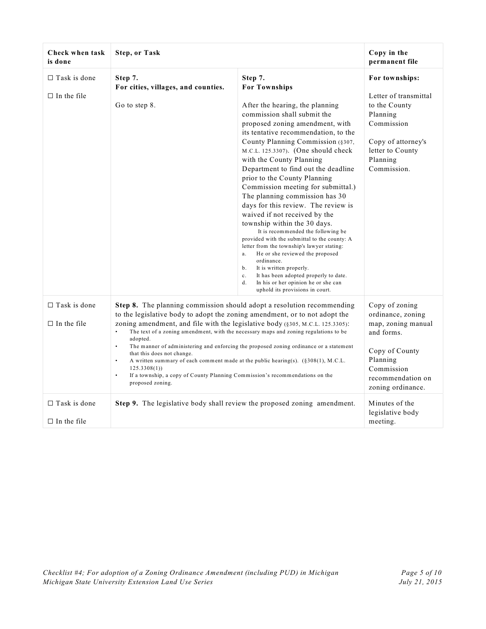| Check when task<br>is done                | <b>Step, or Task</b>                                                                                                                                                                                                                                                                                                                                                                                                                                                                                                                                                                                                                                                                                                              |                                                                                                                                                                                                                                                                                                                                                                                                                                                                                                                                                                                                                                                                                                                                                                                                                                                                                                                 | Copy in the<br>permanent file                                                                                                                                 |
|-------------------------------------------|-----------------------------------------------------------------------------------------------------------------------------------------------------------------------------------------------------------------------------------------------------------------------------------------------------------------------------------------------------------------------------------------------------------------------------------------------------------------------------------------------------------------------------------------------------------------------------------------------------------------------------------------------------------------------------------------------------------------------------------|-----------------------------------------------------------------------------------------------------------------------------------------------------------------------------------------------------------------------------------------------------------------------------------------------------------------------------------------------------------------------------------------------------------------------------------------------------------------------------------------------------------------------------------------------------------------------------------------------------------------------------------------------------------------------------------------------------------------------------------------------------------------------------------------------------------------------------------------------------------------------------------------------------------------|---------------------------------------------------------------------------------------------------------------------------------------------------------------|
| $\Box$ Task is done<br>$\Box$ In the file | Step 7.<br>For cities, villages, and counties.<br>Go to step 8.                                                                                                                                                                                                                                                                                                                                                                                                                                                                                                                                                                                                                                                                   | Step 7.<br><b>For Townships</b><br>After the hearing, the planning<br>commission shall submit the<br>proposed zoning amendment, with<br>its tentative recommendation, to the<br>County Planning Commission (§307,<br>M.C.L. 125.3307). (One should check<br>with the County Planning<br>Department to find out the deadline<br>prior to the County Planning<br>Commission meeting for submittal.)<br>The planning commission has 30<br>days for this review. The review is<br>waived if not received by the<br>township within the 30 days.<br>It is recommended the following be<br>provided with the submittal to the county: A<br>letter from the township's lawyer stating:<br>He or she reviewed the proposed<br>a.<br>ordinance.<br>It is written properly.<br>b.<br>It has been adopted properly to date.<br>$c_{\cdot}$<br>In his or her opinion he or she can<br>d.<br>uphold its provisions in court. | For townships:<br>Letter of transmittal<br>to the County<br>Planning<br>Commission<br>Copy of attorney's<br>letter to County<br>Planning<br>Commission.       |
| $\Box$ Task is done<br>$\Box$ In the file | Step 8. The planning commission should adopt a resolution recommending<br>to the legislative body to adopt the zoning amendment, or to not adopt the<br>zoning amendment, and file with the legislative body (§305, M.C.L. 125.3305):<br>The text of a zoning amendment, with the necessary maps and zoning regulations to be<br>$\bullet$<br>adopted.<br>$\bullet$<br>The manner of administering and enforcing the proposed zoning ordinance or a statement<br>that this does not change.<br>$\bullet$<br>A written summary of each comment made at the public hearing(s). $(\S 308(1), M.C.L.$<br>125.3308(1)<br>If a township, a copy of County Planning Commission's recommendations on the<br>$\bullet$<br>proposed zoning. |                                                                                                                                                                                                                                                                                                                                                                                                                                                                                                                                                                                                                                                                                                                                                                                                                                                                                                                 | Copy of zoning<br>ordinance, zoning<br>map, zoning manual<br>and forms.<br>Copy of County<br>Planning<br>Commission<br>recommendation on<br>zoning ordinance. |
| $\Box$ Task is done<br>$\Box$ In the file | <b>Step 9.</b> The legislative body shall review the proposed zoning amendment.                                                                                                                                                                                                                                                                                                                                                                                                                                                                                                                                                                                                                                                   |                                                                                                                                                                                                                                                                                                                                                                                                                                                                                                                                                                                                                                                                                                                                                                                                                                                                                                                 | Minutes of the<br>legislative body<br>meeting.                                                                                                                |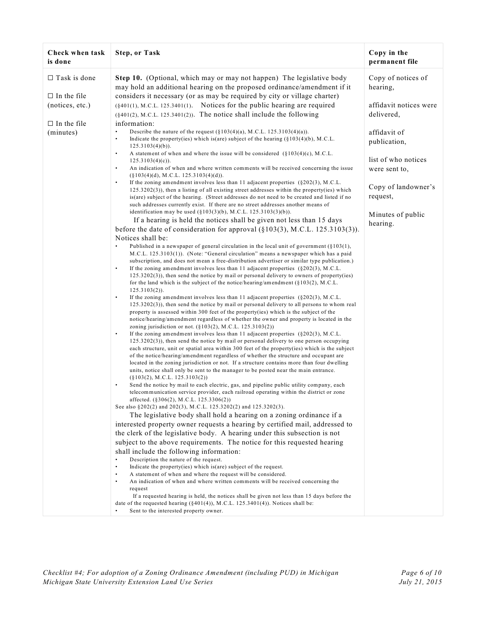| Check when task<br>is done                                  | <b>Step, or Task</b>                                                                                                                                                                                                                                                                                                                                                                                                                                                                                                                                                                                                                                                                                                                                                                                                                                                                                                                                                                                                                                                                                                                                                                                                                                                                                                                                                                                                                                                                                                                                                                                                                                                                                                                                                                                                                                                                                                                                                                                                                                                                                                          | Copy in the<br>permanent file        |
|-------------------------------------------------------------|-------------------------------------------------------------------------------------------------------------------------------------------------------------------------------------------------------------------------------------------------------------------------------------------------------------------------------------------------------------------------------------------------------------------------------------------------------------------------------------------------------------------------------------------------------------------------------------------------------------------------------------------------------------------------------------------------------------------------------------------------------------------------------------------------------------------------------------------------------------------------------------------------------------------------------------------------------------------------------------------------------------------------------------------------------------------------------------------------------------------------------------------------------------------------------------------------------------------------------------------------------------------------------------------------------------------------------------------------------------------------------------------------------------------------------------------------------------------------------------------------------------------------------------------------------------------------------------------------------------------------------------------------------------------------------------------------------------------------------------------------------------------------------------------------------------------------------------------------------------------------------------------------------------------------------------------------------------------------------------------------------------------------------------------------------------------------------------------------------------------------------|--------------------------------------|
| $\Box$ Task is done                                         | Step 10. (Optional, which may or may not happen) The legislative body<br>may hold an additional hearing on the proposed ordinance/amendment if it                                                                                                                                                                                                                                                                                                                                                                                                                                                                                                                                                                                                                                                                                                                                                                                                                                                                                                                                                                                                                                                                                                                                                                                                                                                                                                                                                                                                                                                                                                                                                                                                                                                                                                                                                                                                                                                                                                                                                                             | Copy of notices of<br>hearing,       |
| $\Box$ In the file<br>(notices, etc.)<br>$\Box$ In the file | considers it necessary (or as may be required by city or village charter)<br>(§401(1), M.C.L. 125.3401(1). Notices for the public hearing are required<br>$(\S 401(2), M.C.L. 125.3401(2)).$ The notice shall include the following<br>information:                                                                                                                                                                                                                                                                                                                                                                                                                                                                                                                                                                                                                                                                                                                                                                                                                                                                                                                                                                                                                                                                                                                                                                                                                                                                                                                                                                                                                                                                                                                                                                                                                                                                                                                                                                                                                                                                           | affidavit notices were<br>delivered, |
| (minutes)                                                   | Describe the nature of the request $(\S103(4)(a), M.C.L. 125.3103(4)(a))$ .<br>$\bullet$<br>Indicate the property (ies) which is (are) subject of the hearing $(\S 103(4)(b), M.C.L.$<br>$\bullet$<br>$125.3103(4)(b)$ ).<br>$\bullet$<br>A statement of when and where the issue will be considered $(\S 103(4)(c), M.C.L.$                                                                                                                                                                                                                                                                                                                                                                                                                                                                                                                                                                                                                                                                                                                                                                                                                                                                                                                                                                                                                                                                                                                                                                                                                                                                                                                                                                                                                                                                                                                                                                                                                                                                                                                                                                                                  | affidavit of<br>publication,         |
|                                                             | $125.3103(4)(c)$ ).<br>An indication of when and where written comments will be received concerning the issue<br>$\bullet$<br>$(\S 103(4)(d), M.C.L. 125.3103(4)(d)).$                                                                                                                                                                                                                                                                                                                                                                                                                                                                                                                                                                                                                                                                                                                                                                                                                                                                                                                                                                                                                                                                                                                                                                                                                                                                                                                                                                                                                                                                                                                                                                                                                                                                                                                                                                                                                                                                                                                                                        | list of who notices<br>were sent to, |
|                                                             | If the zoning amendment involves less than 11 adjacent properties $(\S 202(3), M.C.L.$<br>$\bullet$<br>$125.3202(3)$ , then a listing of all existing street addresses within the property(ies) which<br>is(are) subject of the hearing. (Street addresses do not need to be created and listed if no<br>such addresses currently exist. If there are no street addresses another means of                                                                                                                                                                                                                                                                                                                                                                                                                                                                                                                                                                                                                                                                                                                                                                                                                                                                                                                                                                                                                                                                                                                                                                                                                                                                                                                                                                                                                                                                                                                                                                                                                                                                                                                                    | Copy of landowner's<br>request,      |
|                                                             | identification may be used (§103(3)(b), M.C.L. 125.3103(3)(b)).<br>If a hearing is held the notices shall be given not less than 15 days<br>before the date of consideration for approval $(\S103(3), M.C.L. 125.3103(3)).$                                                                                                                                                                                                                                                                                                                                                                                                                                                                                                                                                                                                                                                                                                                                                                                                                                                                                                                                                                                                                                                                                                                                                                                                                                                                                                                                                                                                                                                                                                                                                                                                                                                                                                                                                                                                                                                                                                   | Minutes of public<br>hearing.        |
|                                                             | Notices shall be:<br>$\bullet$<br>Published in a newspaper of general circulation in the local unit of government ( $§103(1)$ ,<br>M.C.L. 125.3103(1)). (Note: "General circulation" means a newspaper which has a paid<br>subscription, and does not mean a free-distribution advertiser or similar type publication.)<br>$\bullet$<br>If the zoning amendment involves less than 11 adjacent properties $(\S 202(3), M.C.L.$<br>$125.3202(3)$ , then send the notice by mail or personal delivery to owners of property(ies)<br>for the land which is the subject of the notice/hearing/amendment $(\S 103(2), M.C.L.$<br>$125.3103(2)$ .<br>If the zoning amendment involves less than 11 adjacent properties $(\S 202(3), M.C.L.$<br>$\bullet$<br>$125.3202(3)$ , then send the notice by mail or personal delivery to all persons to whom real<br>property is assessed within 300 feet of the property (ies) which is the subject of the<br>notice/hearing/amendment regardless of whether the owner and property is located in the<br>zoning jurisdiction or not. $(\S 103(2), M.C.L. 125.3103(2))$<br>If the zoning amendment involves less than 11 adjacent properties $(\S 202(3), M.C.L.$<br>$\bullet$<br>$125.3202(3)$ , then send the notice by mail or personal delivery to one person occupying<br>each structure, unit or spatial area within 300 feet of the property (ies) which is the subject<br>of the notice/hearing/amendment regardless of whether the structure and occupant are<br>located in the zoning jurisdiction or not. If a structure contains more than four dwelling<br>units, notice shall only be sent to the manager to be posted near the main entrance.<br>$(\S103(2), M.C.L. 125.3103(2))$<br>Send the notice by mail to each electric, gas, and pipeline public utility company, each<br>$\bullet$<br>telecommunication service provider, each railroad operating within the district or zone<br>affected. (§306(2), M.C.L. 125.3306(2))<br>See also §202(2) and 202(3), M.C.L. 125.3202(2) and 125.3202(3).<br>The legislative body shall hold a hearing on a zoning ordinance if a |                                      |
|                                                             | interested property owner requests a hearing by certified mail, addressed to<br>the clerk of the legislative body. A hearing under this subsection is not<br>subject to the above requirements. The notice for this requested hearing<br>shall include the following information:<br>Description the nature of the request.<br>$\bullet$                                                                                                                                                                                                                                                                                                                                                                                                                                                                                                                                                                                                                                                                                                                                                                                                                                                                                                                                                                                                                                                                                                                                                                                                                                                                                                                                                                                                                                                                                                                                                                                                                                                                                                                                                                                      |                                      |
|                                                             | Indicate the property (ies) which is (are) subject of the request.<br>A statement of when and where the request will be considered.<br>$\bullet$<br>An indication of when and where written comments will be received concerning the<br>$\bullet$<br>request<br>If a requested hearing is held, the notices shall be given not less than 15 days before the<br>date of the requested hearing $(\frac{6}{401(4)})$ , M.C.L. 125.3401(4)). Notices shall be:<br>Sent to the interested property owner.                                                                                                                                                                                                                                                                                                                                                                                                                                                                                                                                                                                                                                                                                                                                                                                                                                                                                                                                                                                                                                                                                                                                                                                                                                                                                                                                                                                                                                                                                                                                                                                                                          |                                      |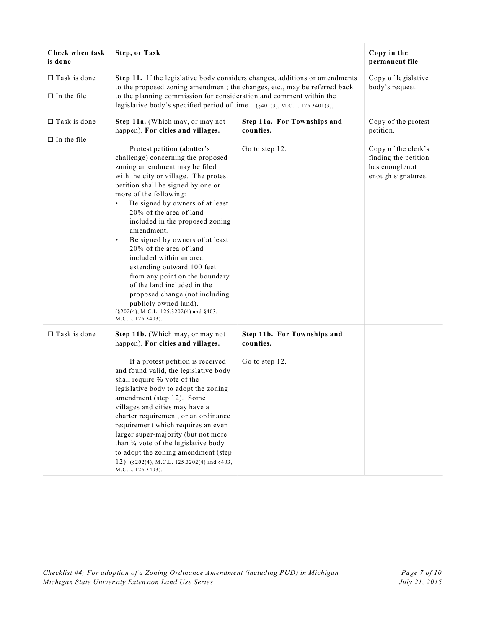| Check when task<br>is done                | <b>Step, or Task</b>                                                                                                                                                                                                                                                                                                                                                                                                                                                                                                                                                                                                                                      |                                          | Copy in the<br>permanent file                                                       |
|-------------------------------------------|-----------------------------------------------------------------------------------------------------------------------------------------------------------------------------------------------------------------------------------------------------------------------------------------------------------------------------------------------------------------------------------------------------------------------------------------------------------------------------------------------------------------------------------------------------------------------------------------------------------------------------------------------------------|------------------------------------------|-------------------------------------------------------------------------------------|
| $\Box$ Task is done<br>$\Box$ In the file | Step 11. If the legislative body considers changes, additions or amendments<br>to the proposed zoning amendment; the changes, etc., may be referred back<br>to the planning commission for consideration and comment within the<br>legislative body's specified period of time. (§401(3), M.C.L. 125.3401(3))                                                                                                                                                                                                                                                                                                                                             |                                          | Copy of legislative<br>body's request.                                              |
| $\Box$ Task is done                       | Step 11a. (Which may, or may not<br>happen). For cities and villages.                                                                                                                                                                                                                                                                                                                                                                                                                                                                                                                                                                                     | Step 11a. For Townships and<br>counties. | Copy of the protest<br>petition.                                                    |
| $\Box$ In the file                        | Protest petition (abutter's<br>challenge) concerning the proposed<br>zoning amendment may be filed<br>with the city or village. The protest<br>petition shall be signed by one or<br>more of the following:<br>Be signed by owners of at least<br>20% of the area of land<br>included in the proposed zoning<br>amendment.<br>Be signed by owners of at least<br>$\bullet$<br>20% of the area of land<br>included within an area<br>extending outward 100 feet<br>from any point on the boundary<br>of the land included in the<br>proposed change (not including<br>publicly owned land).<br>(§202(4), M.C.L. 125.3202(4) and §403,<br>M.C.L. 125.3403). | Go to step 12.                           | Copy of the clerk's<br>finding the petition<br>has enough/not<br>enough signatures. |
| $\Box$ Task is done                       | Step 11b. (Which may, or may not<br>happen). For cities and villages.                                                                                                                                                                                                                                                                                                                                                                                                                                                                                                                                                                                     | Step 11b. For Townships and<br>counties. |                                                                                     |
|                                           | If a protest petition is received<br>and found valid, the legislative body<br>shall require % vote of the<br>legislative body to adopt the zoning<br>amendment (step 12). Some<br>villages and cities may have a<br>charter requirement, or an ordinance<br>requirement which requires an even<br>larger super-majority (but not more<br>than $\frac{3}{4}$ vote of the legislative body<br>to adopt the zoning amendment (step<br>12). (§202(4), M.C.L. 125.3202(4) and §403,<br>M.C.L. 125.3403).                                                                                                                                                       | Go to step 12.                           |                                                                                     |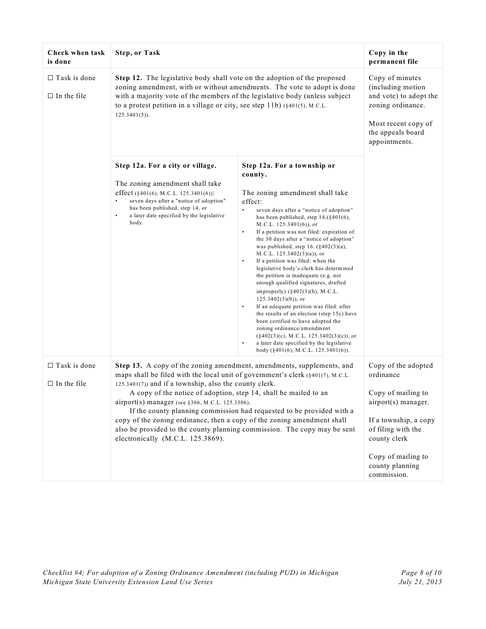| Check when task<br>is done                | <b>Step, or Task</b>                                                                                                                                                                                                                                                                                                                                                                                                                                                                                                                                                                                             |                                                                                                                                                                                                                                                                                                                                                                                                                                                                                                                                                                                                                                                                                                                                                                                                                                                                                                                                                                                   | Copy in the<br>permanent file                                                                                                                                                                        |
|-------------------------------------------|------------------------------------------------------------------------------------------------------------------------------------------------------------------------------------------------------------------------------------------------------------------------------------------------------------------------------------------------------------------------------------------------------------------------------------------------------------------------------------------------------------------------------------------------------------------------------------------------------------------|-----------------------------------------------------------------------------------------------------------------------------------------------------------------------------------------------------------------------------------------------------------------------------------------------------------------------------------------------------------------------------------------------------------------------------------------------------------------------------------------------------------------------------------------------------------------------------------------------------------------------------------------------------------------------------------------------------------------------------------------------------------------------------------------------------------------------------------------------------------------------------------------------------------------------------------------------------------------------------------|------------------------------------------------------------------------------------------------------------------------------------------------------------------------------------------------------|
| $\Box$ Task is done<br>$\Box$ In the file | Step 12. The legislative body shall vote on the adoption of the proposed<br>zoning amendment, with or without amendments. The vote to adopt is done<br>with a majority vote of the members of the legislative body (unless subject<br>to a protest petition in a village or city, see step 11b) (§401(5), M.C.L.<br>$125.3401(5)$ .                                                                                                                                                                                                                                                                              |                                                                                                                                                                                                                                                                                                                                                                                                                                                                                                                                                                                                                                                                                                                                                                                                                                                                                                                                                                                   | Copy of minutes<br>(including motion<br>and vote) to adopt the<br>zoning ordinance.<br>Most recent copy of<br>the appeals board<br>appointments.                                                     |
|                                           | Step 12a. For a city or village.<br>The zoning amendment shall take<br>effect (§401(6), M.C.L. 125.3401(6)):<br>seven days after a "notice of adoption"<br>$\bullet$<br>has been published, step 14, or<br>$\bullet$<br>a later date specified by the legislative<br>body.                                                                                                                                                                                                                                                                                                                                       | Step 12a. For a township or<br>county.<br>The zoning amendment shall take<br>effect:<br>seven days after a "notice of adoption"<br>has been published, step $14, (\$401(6),$<br>M.C.L. $125.3401(6)$ , or<br>$\bullet$<br>If a petition was not filed: expiration of<br>the 30 days after a "notice of adoption"<br>was published, step 16. $(\frac{6}{402(3)}(a))$ ,<br>M.C.L. $125.3402(3)(a)$ , or<br>If a petition was filed: when the<br>$\bullet$<br>legislative body's clerk has determined<br>the petition is inadequate (e.g. not<br>enough qualified signatures, drafted<br>improperly) $(\S 402(3)(b), M.C.L.$<br>$125.3402(3)(b)$ , or<br>$\bullet$<br>If an adequate petition was filed: after<br>the results of an election (step 15c) have<br>been certified to have adopted the<br>zoning ordinance/amendment<br>$(\S 402(3)(c), M.C.L. 125.3402(3)(c)),$ or<br>a later date specified by the legislative<br>$\bullet$<br>body ( $§401(6)$ , M.C.L. 125.3401(6)). |                                                                                                                                                                                                      |
| $\Box$ Task is done<br>$\Box$ In the file | Step 13. A copy of the zoning amendment, amendments, supplements, and<br>maps shall be filed with the local unit of government's clerk (§401(7), M.C.L.<br>$125.3401(7)$ ) and if a township, also the county clerk.<br>A copy of the notice of adoption, step 14, shall be mailed to an<br>airport(s) manager (see §306, M.C.L. 125.3306).<br>If the county planning commission had requested to be provided with a<br>copy of the zoning ordinance, then a copy of the zoning amendment shall<br>also be provided to the county planning commission. The copy may be sent<br>electronically (M.C.L. 125.3869). |                                                                                                                                                                                                                                                                                                                                                                                                                                                                                                                                                                                                                                                                                                                                                                                                                                                                                                                                                                                   | Copy of the adopted<br>ordinance<br>Copy of mailing to<br>airport(s) manager.<br>If a township, a copy<br>of filing with the<br>county clerk<br>Copy of mailing to<br>county planning<br>commission. |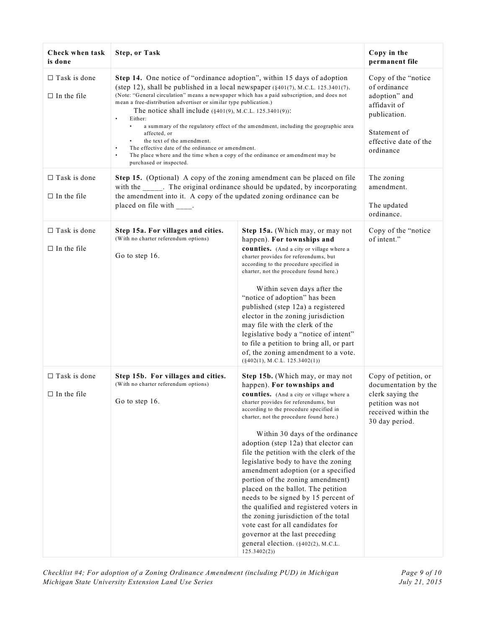| Check when task<br>is done                | <b>Step, or Task</b>                                                                                                                                                                                                                                                                                                                                                                                                                                                                                                                                                                                                                                                                                                                                                |                                                                                                                                                                                                                                                                                                                                                                                                                                                                                                                                                                                                                                                                                                                                                                                   | Copy in the<br>permanent file                                                                                                               |
|-------------------------------------------|---------------------------------------------------------------------------------------------------------------------------------------------------------------------------------------------------------------------------------------------------------------------------------------------------------------------------------------------------------------------------------------------------------------------------------------------------------------------------------------------------------------------------------------------------------------------------------------------------------------------------------------------------------------------------------------------------------------------------------------------------------------------|-----------------------------------------------------------------------------------------------------------------------------------------------------------------------------------------------------------------------------------------------------------------------------------------------------------------------------------------------------------------------------------------------------------------------------------------------------------------------------------------------------------------------------------------------------------------------------------------------------------------------------------------------------------------------------------------------------------------------------------------------------------------------------------|---------------------------------------------------------------------------------------------------------------------------------------------|
| $\Box$ Task is done<br>$\Box$ In the file | Step 14. One notice of "ordinance adoption", within 15 days of adoption<br>(step 12), shall be published in a local newspaper $(§401(7), M.C.L. 125.3401(7)).$<br>(Note: "General circulation" means a newspaper which has a paid subscription, and does not<br>mean a free-distribution advertiser or similar type publication.)<br>The notice shall include $(§401(9), M.C.L. 125.3401(9))$ :<br>Either:<br>$\bullet$<br>$\bullet$<br>a summary of the regulatory effect of the amendment, including the geographic area<br>affected, or<br>the text of the amendment.<br>The effective date of the ordinance or amendment.<br>$\bullet$<br>$\bullet$<br>The place where and the time when a copy of the ordinance or amendment may be<br>purchased or inspected. |                                                                                                                                                                                                                                                                                                                                                                                                                                                                                                                                                                                                                                                                                                                                                                                   | Copy of the "notice"<br>of ordinance<br>adoption" and<br>affidavit of<br>publication.<br>Statement of<br>effective date of the<br>ordinance |
| $\Box$ Task is done<br>$\Box$ In the file | Step 15. (Optional) A copy of the zoning amendment can be placed on file<br>with the _____. The original ordinance should be updated, by incorporating<br>the amendment into it. A copy of the updated zoning ordinance can be<br>placed on file with ____.                                                                                                                                                                                                                                                                                                                                                                                                                                                                                                         |                                                                                                                                                                                                                                                                                                                                                                                                                                                                                                                                                                                                                                                                                                                                                                                   | The zoning<br>amendment.<br>The updated<br>ordinance.                                                                                       |
| $\Box$ Task is done<br>$\Box$ In the file | Step 15a. For villages and cities.<br>(With no charter referendum options)<br>Go to step 16.                                                                                                                                                                                                                                                                                                                                                                                                                                                                                                                                                                                                                                                                        | Step 15a. (Which may, or may not<br>happen). For townships and<br>counties. (And a city or village where a<br>charter provides for referendums, but<br>according to the procedure specified in<br>charter, not the procedure found here.)<br>Within seven days after the<br>"notice of adoption" has been<br>published (step 12a) a registered<br>elector in the zoning jurisdiction<br>may file with the clerk of the<br>legislative body a "notice of intent"<br>to file a petition to bring all, or part<br>of, the zoning amendment to a vote.<br>$(\S 402(1), M.C.L. 125.3402(1))$                                                                                                                                                                                           | Copy of the "notice<br>of intent."                                                                                                          |
| $\Box$ Task is done<br>$\Box$ In the file | Step 15b. For villages and cities.<br>(With no charter referendum options)<br>Go to step 16.                                                                                                                                                                                                                                                                                                                                                                                                                                                                                                                                                                                                                                                                        | Step 15b. (Which may, or may not<br>happen). For townships and<br><b>counties.</b> (And a city or village where a<br>charter provides for referendums, but<br>according to the procedure specified in<br>charter, not the procedure found here.)<br>Within 30 days of the ordinance<br>adoption (step 12a) that elector can<br>file the petition with the clerk of the<br>legislative body to have the zoning<br>amendment adoption (or a specified<br>portion of the zoning amendment)<br>placed on the ballot. The petition<br>needs to be signed by 15 percent of<br>the qualified and registered voters in<br>the zoning jurisdiction of the total<br>vote cast for all candidates for<br>governor at the last preceding<br>general election. (§402(2), M.C.L.<br>125.3402(2) | Copy of petition, or<br>documentation by the<br>clerk saying the<br>petition was not<br>received within the<br>30 day period.               |

*Checklist #4; For adoption of a Zoning Ordinance Amendment (including PUD) in Michigan Page 9 of 10 Michigan State University Extension Land Use* Series